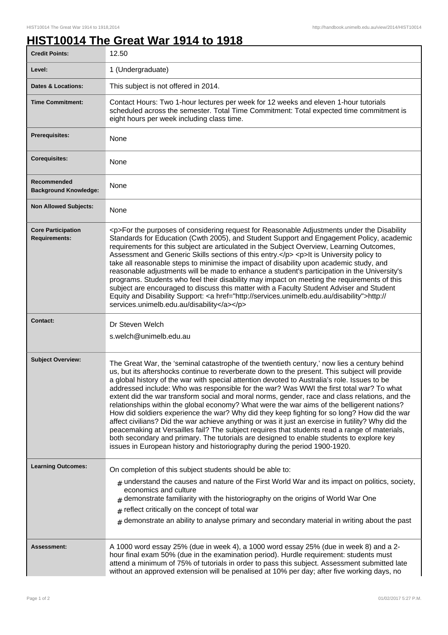## **HIST10014 The Great War 1914 to 1918**

| <b>Credit Points:</b>                             | 12.50                                                                                                                                                                                                                                                                                                                                                                                                                                                                                                                                                                                                                                                                                                                                                                                                                                                                                                                                                                                                                                                                        |
|---------------------------------------------------|------------------------------------------------------------------------------------------------------------------------------------------------------------------------------------------------------------------------------------------------------------------------------------------------------------------------------------------------------------------------------------------------------------------------------------------------------------------------------------------------------------------------------------------------------------------------------------------------------------------------------------------------------------------------------------------------------------------------------------------------------------------------------------------------------------------------------------------------------------------------------------------------------------------------------------------------------------------------------------------------------------------------------------------------------------------------------|
| Level:                                            | 1 (Undergraduate)                                                                                                                                                                                                                                                                                                                                                                                                                                                                                                                                                                                                                                                                                                                                                                                                                                                                                                                                                                                                                                                            |
| <b>Dates &amp; Locations:</b>                     | This subject is not offered in 2014.                                                                                                                                                                                                                                                                                                                                                                                                                                                                                                                                                                                                                                                                                                                                                                                                                                                                                                                                                                                                                                         |
| <b>Time Commitment:</b>                           | Contact Hours: Two 1-hour lectures per week for 12 weeks and eleven 1-hour tutorials<br>scheduled across the semester. Total Time Commitment: Total expected time commitment is<br>eight hours per week including class time.                                                                                                                                                                                                                                                                                                                                                                                                                                                                                                                                                                                                                                                                                                                                                                                                                                                |
| Prerequisites:                                    | None                                                                                                                                                                                                                                                                                                                                                                                                                                                                                                                                                                                                                                                                                                                                                                                                                                                                                                                                                                                                                                                                         |
| <b>Corequisites:</b>                              | None                                                                                                                                                                                                                                                                                                                                                                                                                                                                                                                                                                                                                                                                                                                                                                                                                                                                                                                                                                                                                                                                         |
| Recommended<br><b>Background Knowledge:</b>       | None                                                                                                                                                                                                                                                                                                                                                                                                                                                                                                                                                                                                                                                                                                                                                                                                                                                                                                                                                                                                                                                                         |
| <b>Non Allowed Subjects:</b>                      | None                                                                                                                                                                                                                                                                                                                                                                                                                                                                                                                                                                                                                                                                                                                                                                                                                                                                                                                                                                                                                                                                         |
| <b>Core Participation</b><br><b>Requirements:</b> | <p>For the purposes of considering request for Reasonable Adjustments under the Disability<br/>Standards for Education (Cwth 2005), and Student Support and Engagement Policy, academic<br/>requirements for this subject are articulated in the Subject Overview, Learning Outcomes,<br/>Assessment and Generic Skills sections of this entry.</p> <p>lt is University policy to<br/>take all reasonable steps to minimise the impact of disability upon academic study, and<br/>reasonable adjustments will be made to enhance a student's participation in the University's<br/>programs. Students who feel their disability may impact on meeting the requirements of this<br/>subject are encouraged to discuss this matter with a Faculty Student Adviser and Student<br/>Equity and Disability Support: &lt; a href="http://services.unimelb.edu.au/disability"&gt;http://<br/>services.unimelb.edu.au/disability</p>                                                                                                                                                 |
| <b>Contact:</b>                                   | Dr Steven Welch<br>s.welch@unimelb.edu.au                                                                                                                                                                                                                                                                                                                                                                                                                                                                                                                                                                                                                                                                                                                                                                                                                                                                                                                                                                                                                                    |
| <b>Subject Overview:</b>                          | The Great War, the 'seminal catastrophe of the twentieth century,' now lies a century behind<br>us, but its aftershocks continue to reverberate down to the present. This subject will provide<br>a global history of the war with special attention devoted to Australia's role. Issues to be<br>addressed include: Who was responsible for the war? Was WWI the first total war? To what<br>extent did the war transform social and moral norms, gender, race and class relations, and the<br>relationships within the global economy? What were the war aims of the belligerent nations?<br>How did soldiers experience the war? Why did they keep fighting for so long? How did the war<br>affect civilians? Did the war achieve anything or was it just an exercise in futility? Why did the<br>peacemaking at Versailles fail? The subject requires that students read a range of materials,<br>both secondary and primary. The tutorials are designed to enable students to explore key<br>issues in European history and historiography during the period 1900-1920. |
| <b>Learning Outcomes:</b>                         | On completion of this subject students should be able to:<br>$_{\text{\#}}$ understand the causes and nature of the First World War and its impact on politics, society,<br>economics and culture<br>demonstrate familiarity with the historiography on the origins of World War One<br>reflect critically on the concept of total war<br>$_{\#}$ demonstrate an ability to analyse primary and secondary material in writing about the past                                                                                                                                                                                                                                                                                                                                                                                                                                                                                                                                                                                                                                 |
| Assessment:                                       | A 1000 word essay 25% (due in week 4), a 1000 word essay 25% (due in week 8) and a 2-<br>hour final exam 50% (due in the examination period). Hurdle requirement: students must<br>attend a minimum of 75% of tutorials in order to pass this subject. Assessment submitted late<br>without an approved extension will be penalised at 10% per day; after five working days, no                                                                                                                                                                                                                                                                                                                                                                                                                                                                                                                                                                                                                                                                                              |